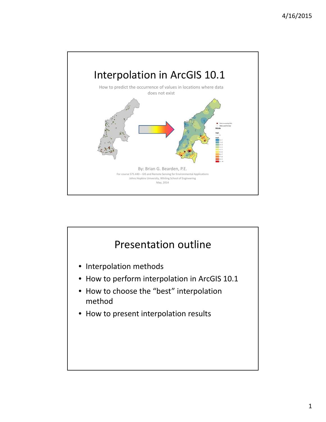

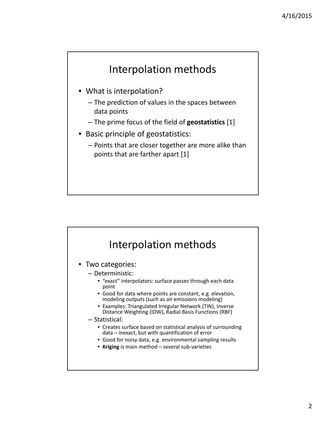

- What is interpolation?
	- The prediction of values in the spaces between data points
	- The prime focus of the field of **geostatistics** [1]
- Basic principle of geostatistics:
	- Points that are closer together are more alike than points that are farther apart [1]

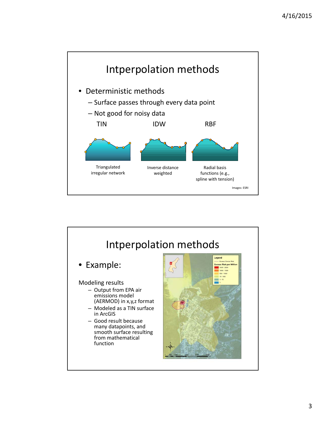

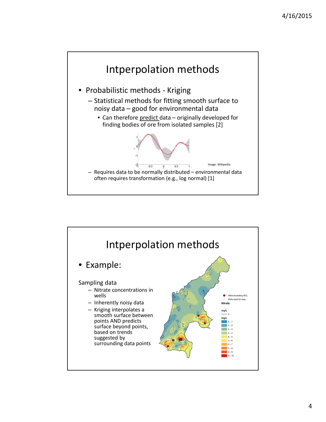

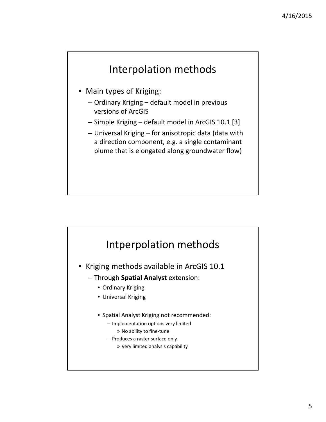## Interpolation methods

- Main types of Kriging:
	- Ordinary Kriging default model in previous versions of ArcGIS
	- Simple Kriging default model in ArcGIS 10.1 [3]
	- Universal Kriging for anisotropic data (data with a direction component, e.g. a single contaminant plume that is elongated along groundwater flow)



- Kriging methods available in ArcGIS 10.1
	- Through **Spatial Analyst** extension:
		- Ordinary Kriging
		- Universal Kriging
		- Spatial Analyst Kriging not recommended:
			- Implementation options very limited
				- » No ability to fine‐tune
			- Produces a raster surface only
				- » Very limited analysis capability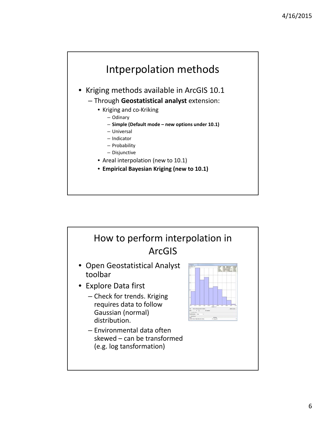



6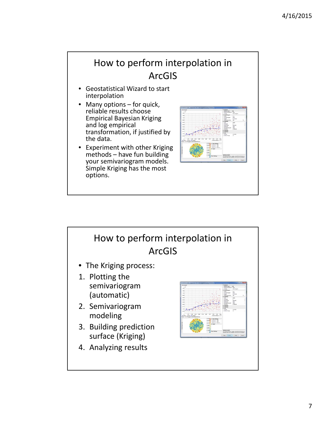### How to perform interpolation in ArcGIS

- Geostatistical Wizard to start interpolation
- Many options for quick, reliable results choose Empirical Bayesian Kriging and log empirical transformation, if justified by the data.
- Experiment with other Kriging methods – have fun building<br>your semivariogram models. Simple Kriging has the most options.



## How to perform interpolation in ArcGIS • The Kriging process: 1. Plotting the semivariogram (automatic) 2. Semivariogram modeling 3. Building prediction surface (Kriging) 4. Analyzing results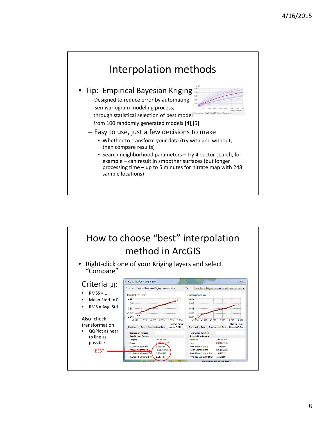

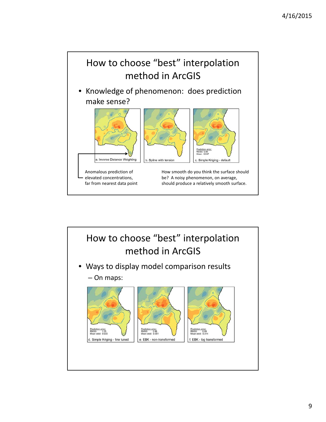

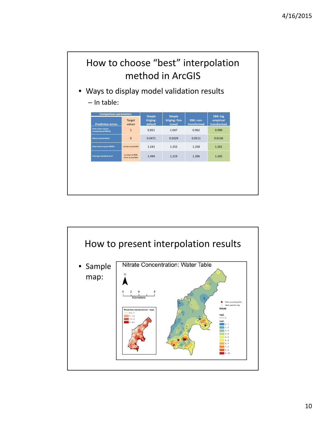

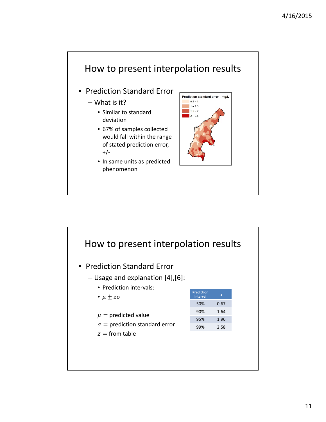

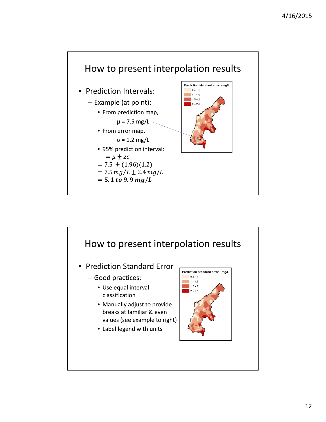

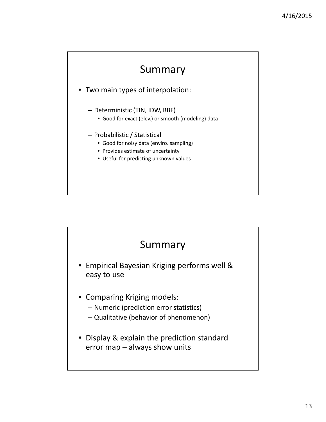# Summary

• Two main types of interpolation:

- Deterministic (TIN, IDW, RBF)
	- Good for exact (elev.) or smooth (modeling) data
- Probabilistic / Statistical
	- Good for noisy data (enviro. sampling)
	- Provides estimate of uncertainty
	- Useful for predicting unknown values